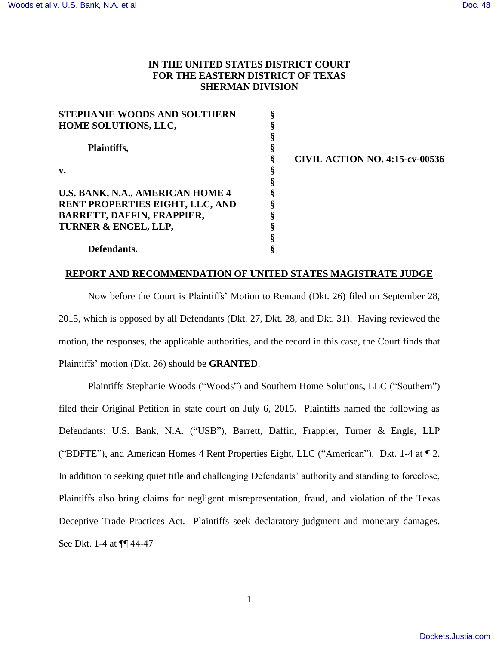# **IN THE UNITED STATES DISTRICT COURT FOR THE EASTERN DISTRICT OF TEXAS SHERMAN DIVISION**

| <b>STEPHANIE WOODS AND SOUTHERN</b> |   |  |
|-------------------------------------|---|--|
| HOME SOLUTIONS, LLC,                | ş |  |
|                                     | § |  |
| Plaintiffs,                         | § |  |
|                                     | § |  |
| $\mathbf{v}$ .                      | ş |  |
|                                     | § |  |
| U.S. BANK, N.A., AMERICAN HOME 4    |   |  |
| RENT PROPERTIES EIGHT, LLC, AND     |   |  |
| <b>BARRETT, DAFFIN, FRAPPIER,</b>   | § |  |
| TURNER & ENGEL, LLP,                | ş |  |
|                                     | ş |  |
| Defendants.                         |   |  |

**§ CIVIL ACTION NO. 4:15-cv-00536** 

## **REPORT AND RECOMMENDATION OF UNITED STATES MAGISTRATE JUDGE**

Now before the Court is Plaintiffs" Motion to Remand (Dkt. 26) filed on September 28, 2015, which is opposed by all Defendants (Dkt. 27, Dkt. 28, and Dkt. 31). Having reviewed the motion, the responses, the applicable authorities, and the record in this case, the Court finds that Plaintiffs" motion (Dkt. 26) should be **GRANTED**.

Plaintiffs Stephanie Woods ("Woods") and Southern Home Solutions, LLC ("Southern") filed their Original Petition in state court on July 6, 2015. Plaintiffs named the following as Defendants: U.S. Bank, N.A. ("USB"), Barrett, Daffin, Frappier, Turner & Engle, LLP ("BDFTE"), and American Homes 4 Rent Properties Eight, LLC ("American"). Dkt. 1-4 at ¶ 2. In addition to seeking quiet title and challenging Defendants" authority and standing to foreclose, Plaintiffs also bring claims for negligent misrepresentation, fraud, and violation of the Texas Deceptive Trade Practices Act. Plaintiffs seek declaratory judgment and monetary damages. See Dkt. 1-4 at ¶¶ 44-47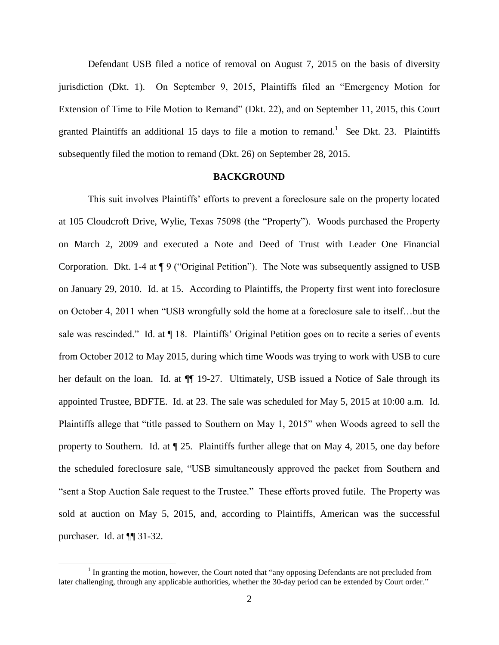Defendant USB filed a notice of removal on August 7, 2015 on the basis of diversity jurisdiction (Dkt. 1). On September 9, 2015, Plaintiffs filed an "Emergency Motion for Extension of Time to File Motion to Remand" (Dkt. 22), and on September 11, 2015, this Court granted Plaintiffs an additional 15 days to file a motion to remand.<sup>1</sup> See Dkt. 23. Plaintiffs subsequently filed the motion to remand (Dkt. 26) on September 28, 2015.

### **BACKGROUND**

This suit involves Plaintiffs" efforts to prevent a foreclosure sale on the property located at 105 Cloudcroft Drive, Wylie, Texas 75098 (the "Property"). Woods purchased the Property on March 2, 2009 and executed a Note and Deed of Trust with Leader One Financial Corporation. Dkt. 1-4 at ¶ 9 ("Original Petition"). The Note was subsequently assigned to USB on January 29, 2010. Id. at 15. According to Plaintiffs, the Property first went into foreclosure on October 4, 2011 when "USB wrongfully sold the home at a foreclosure sale to itself…but the sale was rescinded." Id. at  $\P$  18. Plaintiffs' Original Petition goes on to recite a series of events from October 2012 to May 2015, during which time Woods was trying to work with USB to cure her default on the loan. Id. at ¶¶ 19-27. Ultimately, USB issued a Notice of Sale through its appointed Trustee, BDFTE. Id. at 23. The sale was scheduled for May 5, 2015 at 10:00 a.m. Id. Plaintiffs allege that "title passed to Southern on May 1, 2015" when Woods agreed to sell the property to Southern. Id. at ¶ 25. Plaintiffs further allege that on May 4, 2015, one day before the scheduled foreclosure sale, "USB simultaneously approved the packet from Southern and "sent a Stop Auction Sale request to the Trustee." These efforts proved futile. The Property was sold at auction on May 5, 2015, and, according to Plaintiffs, American was the successful purchaser. Id. at ¶¶ 31-32.

 $\overline{a}$ 

<sup>&</sup>lt;sup>1</sup> In granting the motion, however, the Court noted that "any opposing Defendants are not precluded from later challenging, through any applicable authorities, whether the 30-day period can be extended by Court order."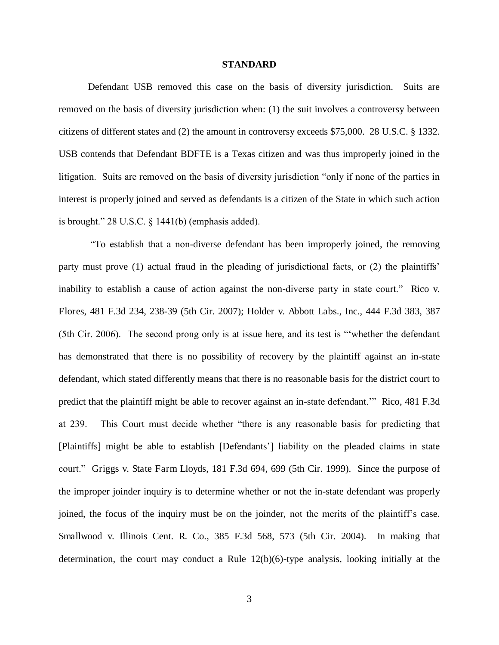#### **STANDARD**

Defendant USB removed this case on the basis of diversity jurisdiction. Suits are removed on the basis of diversity jurisdiction when: (1) the suit involves a controversy between citizens of different states and (2) the amount in controversy exceeds \$75,000. 28 U.S.C. § 1332. USB contends that Defendant BDFTE is a Texas citizen and was thus improperly joined in the litigation. Suits are removed on the basis of diversity jurisdiction "only if none of the parties in interest is properly joined and served as defendants is a citizen of the State in which such action is brought." 28 U.S.C. § 1441(b) (emphasis added).

"To establish that a non-diverse defendant has been improperly joined, the removing party must prove (1) actual fraud in the pleading of jurisdictional facts, or (2) the plaintiffs" inability to establish a cause of action against the non-diverse party in state court." Rico v. Flores, 481 F.3d 234, 238-39 (5th Cir. 2007); Holder v. Abbott Labs., Inc., 444 F.3d 383, 387 (5th Cir. 2006). The second prong only is at issue here, and its test is ""whether the defendant has demonstrated that there is no possibility of recovery by the plaintiff against an in-state defendant, which stated differently means that there is no reasonable basis for the district court to predict that the plaintiff might be able to recover against an in-state defendant."" Rico, 481 F.3d at 239. This Court must decide whether "there is any reasonable basis for predicting that [Plaintiffs] might be able to establish [Defendants"] liability on the pleaded claims in state court." Griggs v. State Farm Lloyds, 181 F.3d 694, 699 (5th Cir. 1999). Since the purpose of the improper joinder inquiry is to determine whether or not the in-state defendant was properly joined, the focus of the inquiry must be on the joinder, not the merits of the plaintiff"s case. Smallwood v. Illinois Cent. R. Co., 385 F.3d 568, 573 (5th Cir. 2004). In making that determination, the court may conduct a Rule 12(b)(6)-type analysis, looking initially at the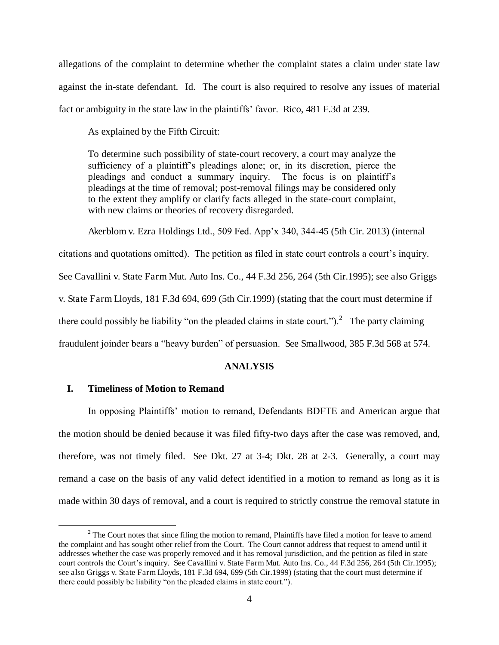allegations of the complaint to determine whether the complaint states a claim under state law against the in-state defendant. Id. The court is also required to resolve any issues of material fact or ambiguity in the state law in the plaintiffs" favor. Rico, 481 F.3d at 239.

As explained by the Fifth Circuit:

To determine such possibility of state-court recovery, a court may analyze the sufficiency of a plaintiff"s pleadings alone; or, in its discretion, pierce the pleadings and conduct a summary inquiry. The focus is on plaintiff"s pleadings at the time of removal; post-removal filings may be considered only to the extent they amplify or clarify facts alleged in the state-court complaint, with new claims or theories of recovery disregarded.

Akerblom v. Ezra Holdings Ltd., 509 Fed. App"x 340, 344-45 (5th Cir. 2013) (internal citations and quotations omitted). The petition as filed in state court controls a court's inquiry. See Cavallini v. State Farm Mut. Auto Ins. Co., 44 F.3d 256, 264 (5th Cir.1995); see also Griggs v. State Farm Lloyds, 181 F.3d 694, 699 (5th Cir.1999) (stating that the court must determine if there could possibly be liability "on the pleaded claims in state court.").<sup>2</sup> The party claiming fraudulent joinder bears a "heavy burden" of persuasion. See Smallwood, 385 F.3d 568 at 574.

# **ANALYSIS**

## **I. Timeliness of Motion to Remand**

 $\overline{a}$ 

In opposing Plaintiffs" motion to remand, Defendants BDFTE and American argue that the motion should be denied because it was filed fifty-two days after the case was removed, and, therefore, was not timely filed. See Dkt. 27 at 3-4; Dkt. 28 at 2-3. Generally, a court may remand a case on the basis of any valid defect identified in a motion to remand as long as it is made within 30 days of removal, and a court is required to strictly construe the removal statute in

 $2^2$  The Court notes that since filing the motion to remand, Plaintiffs have filed a motion for leave to amend the complaint and has sought other relief from the Court. The Court cannot address that request to amend until it addresses whether the case was properly removed and it has removal jurisdiction, and the petition as filed in state court controls the Court's inquiry. See Cavallini v. State Farm Mut. Auto Ins. Co., 44 F.3d 256, 264 (5th Cir.1995); see also Griggs v. State Farm Lloyds, 181 F.3d 694, 699 (5th Cir.1999) (stating that the court must determine if there could possibly be liability "on the pleaded claims in state court.").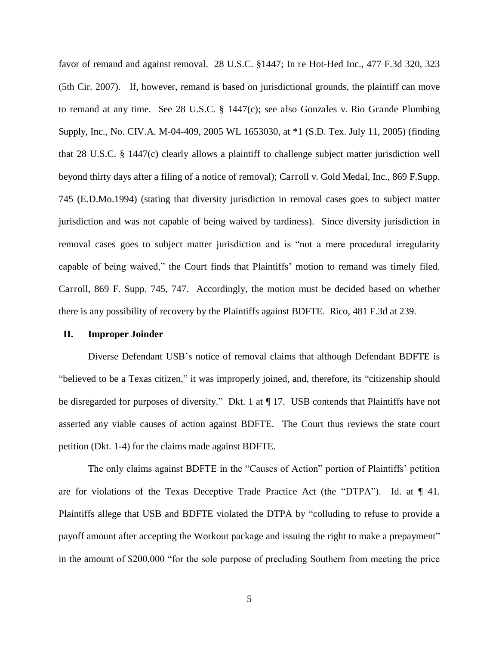favor of remand and against removal. 28 U.S.C. §1447; In re Hot-Hed Inc., 477 F.3d 320, 323 (5th Cir. 2007). If, however, remand is based on jurisdictional grounds, the plaintiff can move to remand at any time. See 28 U.S.C. § 1447(c); see also Gonzales v. Rio Grande Plumbing Supply, Inc., No. CIV.A. M-04-409, 2005 WL 1653030, at \*1 (S.D. Tex. July 11, 2005) (finding that 28 U.S.C. § 1447(c) clearly allows a plaintiff to challenge subject matter jurisdiction well beyond thirty days after a filing of a notice of removal); Carroll v. Gold Medal, Inc., 869 F.Supp. 745 (E.D.Mo.1994) (stating that diversity jurisdiction in removal cases goes to subject matter jurisdiction and was not capable of being waived by tardiness). Since diversity jurisdiction in removal cases goes to subject matter jurisdiction and is "not a mere procedural irregularity capable of being waived," the Court finds that Plaintiffs" motion to remand was timely filed. Carroll, 869 F. Supp. 745, 747. Accordingly, the motion must be decided based on whether there is any possibility of recovery by the Plaintiffs against BDFTE. Rico, 481 F.3d at 239.

### **II. Improper Joinder**

Diverse Defendant USB"s notice of removal claims that although Defendant BDFTE is "believed to be a Texas citizen," it was improperly joined, and, therefore, its "citizenship should be disregarded for purposes of diversity." Dkt. 1 at  $\P$  17. USB contends that Plaintiffs have not asserted any viable causes of action against BDFTE. The Court thus reviews the state court petition (Dkt. 1-4) for the claims made against BDFTE.

The only claims against BDFTE in the "Causes of Action" portion of Plaintiffs" petition are for violations of the Texas Deceptive Trade Practice Act (the "DTPA"). Id. at  $\P$  41. Plaintiffs allege that USB and BDFTE violated the DTPA by "colluding to refuse to provide a payoff amount after accepting the Workout package and issuing the right to make a prepayment" in the amount of \$200,000 "for the sole purpose of precluding Southern from meeting the price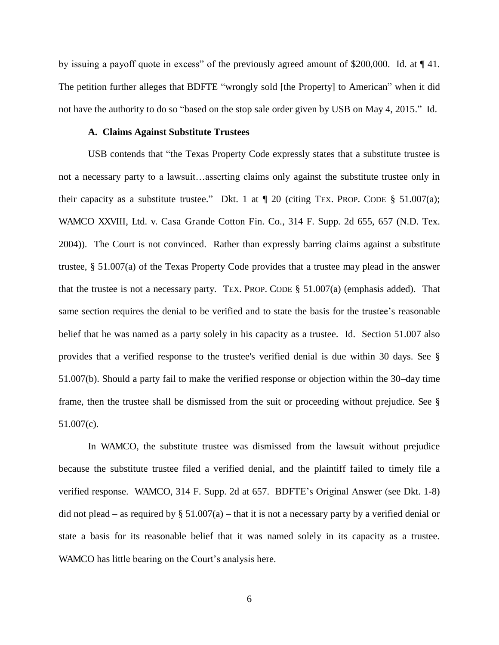by issuing a payoff quote in excess" of the previously agreed amount of \$200,000. Id. at ¶ 41. The petition further alleges that BDFTE "wrongly sold [the Property] to American" when it did not have the authority to do so "based on the stop sale order given by USB on May 4, 2015." Id.

## **A. Claims Against Substitute Trustees**

USB contends that "the Texas Property Code expressly states that a substitute trustee is not a necessary party to a lawsuit…asserting claims only against the substitute trustee only in their capacity as a substitute trustee." Dkt. 1 at  $\parallel$  20 (citing TEX. PROP. CODE § 51.007(a); WAMCO XXVIII, Ltd. v. Casa Grande Cotton Fin. Co., 314 F. Supp. 2d 655, 657 (N.D. Tex. 2004)). The Court is not convinced. Rather than expressly barring claims against a substitute trustee, § 51.007(a) of the Texas Property Code provides that a trustee may plead in the answer that the trustee is not a necessary party. TEX. PROP. CODE  $\S$  51.007(a) (emphasis added). That same section requires the denial to be verified and to state the basis for the trustee's reasonable belief that he was named as a party solely in his capacity as a trustee. Id. Section 51.007 also provides that a verified response to the trustee's verified denial is due within 30 days. See § 51.007(b). Should a party fail to make the verified response or objection within the 30–day time frame, then the trustee shall be dismissed from the suit or proceeding without prejudice. See § 51.007(c).

In WAMCO, the substitute trustee was dismissed from the lawsuit without prejudice because the substitute trustee filed a verified denial, and the plaintiff failed to timely file a verified response. WAMCO, 314 F. Supp. 2d at 657. BDFTE"s Original Answer (see Dkt. 1-8) did not plead – as required by  $\S 51.007(a)$  – that it is not a necessary party by a verified denial or state a basis for its reasonable belief that it was named solely in its capacity as a trustee. WAMCO has little bearing on the Court's analysis here.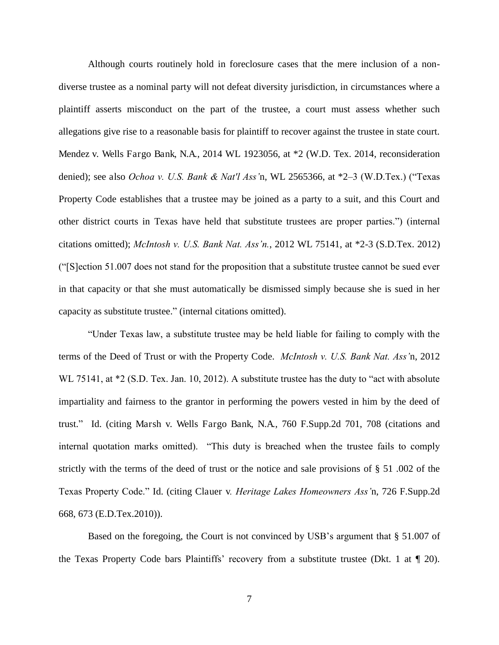Although courts routinely hold in foreclosure cases that the mere inclusion of a nondiverse trustee as a nominal party will not defeat diversity jurisdiction, in circumstances where a plaintiff asserts misconduct on the part of the trustee, a court must assess whether such allegations give rise to a reasonable basis for plaintiff to recover against the trustee in state court. Mendez v. Wells Fargo Bank, N.A., 2014 WL 1923056, at \*2 (W.D. Tex. 2014, reconsideration denied); see also *Ochoa v. U.S. Bank & Nat'l Ass'*n, WL 2565366, at \*2–3 (W.D.Tex.) ("Texas Property Code establishes that a trustee may be joined as a party to a suit, and this Court and other district courts in Texas have held that substitute trustees are proper parties.") (internal citations omitted); *McIntosh v. U.S. Bank Nat. Ass'n.*, 2012 WL 75141, at \*2-3 (S.D.Tex. 2012) ("[S]ection 51.007 does not stand for the proposition that a substitute trustee cannot be sued ever in that capacity or that she must automatically be dismissed simply because she is sued in her capacity as substitute trustee." (internal citations omitted).

"Under Texas law, a substitute trustee may be held liable for failing to comply with the terms of the Deed of Trust or with the Property Code. *McIntosh v. U.S. Bank Nat. Ass'*n, 2012 WL 75141, at  $*2$  (S.D. Tex. Jan. 10, 2012). A substitute trustee has the duty to "act with absolute impartiality and fairness to the grantor in performing the powers vested in him by the deed of trust." Id. (citing Marsh v. Wells Fargo Bank, N.A., 760 F.Supp.2d 701, 708 (citations and internal quotation marks omitted). "This duty is breached when the trustee fails to comply strictly with the terms of the deed of trust or the notice and sale provisions of § 51 .002 of the Texas Property Code." Id. (citing Clauer v*. Heritage Lakes Homeowners Ass'*n, 726 F.Supp.2d 668, 673 (E.D.Tex.2010)).

Based on the foregoing, the Court is not convinced by USB's argument that § 51.007 of the Texas Property Code bars Plaintiffs' recovery from a substitute trustee (Dkt. 1 at  $\P$  20).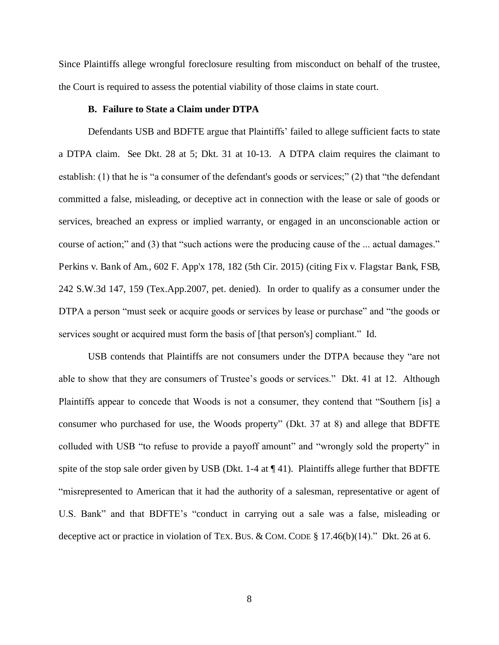Since Plaintiffs allege wrongful foreclosure resulting from misconduct on behalf of the trustee, the Court is required to assess the potential viability of those claims in state court.

# **B. Failure to State a Claim under DTPA**

Defendants USB and BDFTE argue that Plaintiffs" failed to allege sufficient facts to state a DTPA claim. See Dkt. 28 at 5; Dkt. 31 at 10-13. A DTPA claim requires the claimant to establish: (1) that he is "a consumer of the defendant's goods or services;" (2) that "the defendant committed a false, misleading, or deceptive act in connection with the lease or sale of goods or services, breached an express or implied warranty, or engaged in an unconscionable action or course of action;" and (3) that "such actions were the producing cause of the ... actual damages." Perkins v. Bank of Am., 602 F. App'x 178, 182 (5th Cir. 2015) (citing Fix v. Flagstar Bank, FSB, 242 S.W.3d 147, 159 (Tex.App.2007, pet. denied). In order to qualify as a consumer under the DTPA a person "must seek or acquire goods or services by lease or purchase" and "the goods or services sought or acquired must form the basis of [that person's] compliant." Id.

USB contends that Plaintiffs are not consumers under the DTPA because they "are not able to show that they are consumers of Trustee's goods or services." Dkt. 41 at 12. Although Plaintiffs appear to concede that Woods is not a consumer, they contend that "Southern [is] a consumer who purchased for use, the Woods property" (Dkt. 37 at 8) and allege that BDFTE colluded with USB "to refuse to provide a payoff amount" and "wrongly sold the property" in spite of the stop sale order given by USB (Dkt. 1-4 at  $\P$  41). Plaintiffs allege further that BDFTE "misrepresented to American that it had the authority of a salesman, representative or agent of U.S. Bank" and that BDFTE"s "conduct in carrying out a sale was a false, misleading or deceptive act or practice in violation of TEX. BUS. & COM. CODE § 17.46(b)(14)." Dkt. 26 at 6.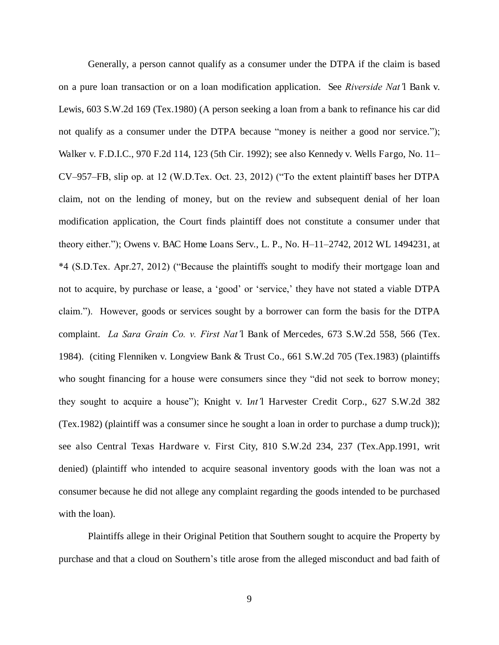Generally, a person cannot qualify as a consumer under the DTPA if the claim is based on a pure loan transaction or on a loan modification application. See *Riverside Nat'*l Bank v. Lewis, 603 S.W.2d 169 (Tex.1980) (A person seeking a loan from a bank to refinance his car did not qualify as a consumer under the DTPA because "money is neither a good nor service."); Walker v. F.D.I.C., 970 F.2d 114, 123 (5th Cir. 1992); see also Kennedy v. Wells Fargo, No. 11– CV–957–FB, slip op. at 12 (W.D.Tex. Oct. 23, 2012) ("To the extent plaintiff bases her DTPA claim, not on the lending of money, but on the review and subsequent denial of her loan modification application, the Court finds plaintiff does not constitute a consumer under that theory either."); Owens v. BAC Home Loans Serv., L. P., No. H–11–2742, 2012 WL 1494231, at \*4 (S.D.Tex. Apr.27, 2012) ("Because the plaintiffs sought to modify their mortgage loan and not to acquire, by purchase or lease, a 'good' or 'service,' they have not stated a viable DTPA claim."). However, goods or services sought by a borrower can form the basis for the DTPA complaint. *La Sara Grain Co. v. First Nat'*l Bank of Mercedes, 673 S.W.2d 558, 566 (Tex. 1984). (citing Flenniken v. Longview Bank & Trust Co., 661 S.W.2d 705 (Tex.1983) (plaintiffs who sought financing for a house were consumers since they "did not seek to borrow money; they sought to acquire a house"); Knight v. I*nt'*l Harvester Credit Corp., 627 S.W.2d 382 (Tex.1982) (plaintiff was a consumer since he sought a loan in order to purchase a dump truck)); see also Central Texas Hardware v. First City, 810 S.W.2d 234, 237 (Tex.App.1991, writ denied) (plaintiff who intended to acquire seasonal inventory goods with the loan was not a consumer because he did not allege any complaint regarding the goods intended to be purchased with the loan).

Plaintiffs allege in their Original Petition that Southern sought to acquire the Property by purchase and that a cloud on Southern"s title arose from the alleged misconduct and bad faith of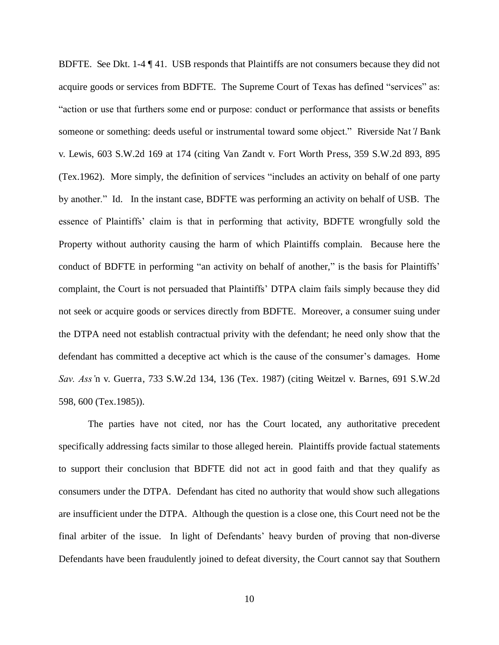BDFTE. See Dkt. 1-4 ¶ 41. USB responds that Plaintiffs are not consumers because they did not acquire goods or services from BDFTE. The Supreme Court of Texas has defined "services" as: "action or use that furthers some end or purpose: conduct or performance that assists or benefits someone or something: deeds useful or instrumental toward some object." Riverside Nat*'l* Bank v. Lewis, 603 S.W.2d 169 at 174 (citing Van Zandt v. Fort Worth Press, 359 S.W.2d 893, 895 (Tex.1962). More simply, the definition of services "includes an activity on behalf of one party by another." Id. In the instant case, BDFTE was performing an activity on behalf of USB. The essence of Plaintiffs" claim is that in performing that activity, BDFTE wrongfully sold the Property without authority causing the harm of which Plaintiffs complain. Because here the conduct of BDFTE in performing "an activity on behalf of another," is the basis for Plaintiffs' complaint, the Court is not persuaded that Plaintiffs" DTPA claim fails simply because they did not seek or acquire goods or services directly from BDFTE. Moreover, a consumer suing under the DTPA need not establish contractual privity with the defendant; he need only show that the defendant has committed a deceptive act which is the cause of the consumer"s damages. Home *Sav. Ass'*n v. Guerra, 733 S.W.2d 134, 136 (Tex. 1987) (citing Weitzel v. Barnes, 691 S.W.2d 598, 600 (Tex.1985)).

The parties have not cited, nor has the Court located, any authoritative precedent specifically addressing facts similar to those alleged herein. Plaintiffs provide factual statements to support their conclusion that BDFTE did not act in good faith and that they qualify as consumers under the DTPA. Defendant has cited no authority that would show such allegations are insufficient under the DTPA. Although the question is a close one, this Court need not be the final arbiter of the issue. In light of Defendants" heavy burden of proving that non-diverse Defendants have been fraudulently joined to defeat diversity, the Court cannot say that Southern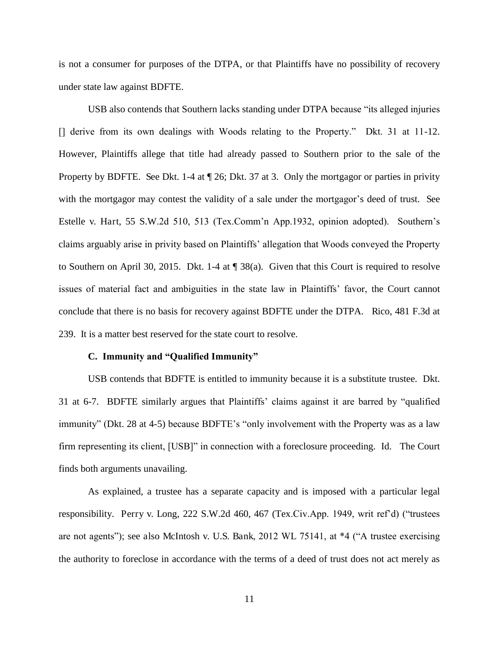is not a consumer for purposes of the DTPA, or that Plaintiffs have no possibility of recovery under state law against BDFTE.

USB also contends that Southern lacks standing under DTPA because "its alleged injuries [] derive from its own dealings with Woods relating to the Property." Dkt. 31 at 11-12. However, Plaintiffs allege that title had already passed to Southern prior to the sale of the Property by BDFTE. See Dkt. 1-4 at  $\P$  26; Dkt. 37 at 3. Only the mortgagor or parties in privity with the mortgagor may contest the validity of a sale under the mortgagor's deed of trust. See Estelle v. Hart, 55 S.W.2d 510, 513 (Tex.Comm'n App.1932, opinion adopted). Southern's claims arguably arise in privity based on Plaintiffs" allegation that Woods conveyed the Property to Southern on April 30, 2015. Dkt. 1-4 at ¶ 38(a). Given that this Court is required to resolve issues of material fact and ambiguities in the state law in Plaintiffs' favor, the Court cannot conclude that there is no basis for recovery against BDFTE under the DTPA. Rico, 481 F.3d at 239. It is a matter best reserved for the state court to resolve.

### **C. Immunity and "Qualified Immunity"**

USB contends that BDFTE is entitled to immunity because it is a substitute trustee. Dkt. 31 at 6-7. BDFTE similarly argues that Plaintiffs" claims against it are barred by "qualified immunity" (Dkt. 28 at 4-5) because BDFTE's "only involvement with the Property was as a law firm representing its client, [USB]" in connection with a foreclosure proceeding. Id. The Court finds both arguments unavailing.

As explained, a trustee has a separate capacity and is imposed with a particular legal responsibility. Perry v. Long, 222 S.W.2d 460, 467 (Tex.Civ.App. 1949, writ ref"d) ("trustees are not agents"); see also McIntosh v. U.S. Bank, 2012 WL 75141, at \*4 ("A trustee exercising the authority to foreclose in accordance with the terms of a deed of trust does not act merely as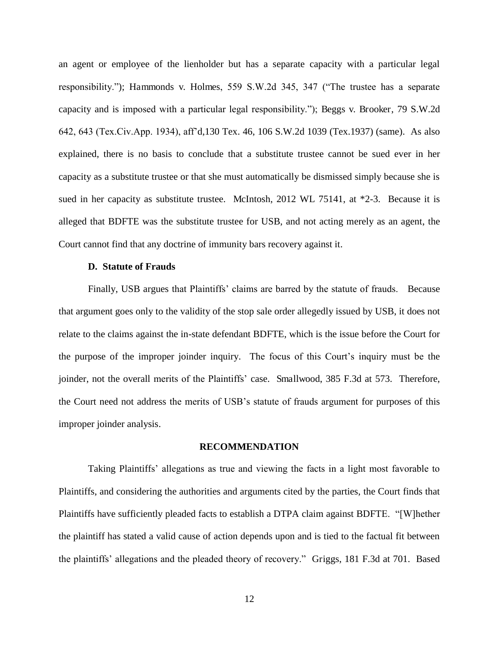an agent or employee of the lienholder but has a separate capacity with a particular legal responsibility."); Hammonds v. Holmes, 559 S.W.2d 345, 347 ("The trustee has a separate capacity and is imposed with a particular legal responsibility."); Beggs v. Brooker, 79 S.W.2d 642, 643 (Tex.Civ.App. 1934), aff"d,130 Tex. 46, 106 S.W.2d 1039 (Tex.1937) (same). As also explained, there is no basis to conclude that a substitute trustee cannot be sued ever in her capacity as a substitute trustee or that she must automatically be dismissed simply because she is sued in her capacity as substitute trustee. McIntosh, 2012 WL 75141, at \*2-3. Because it is alleged that BDFTE was the substitute trustee for USB, and not acting merely as an agent, the Court cannot find that any doctrine of immunity bars recovery against it.

#### **D. Statute of Frauds**

Finally, USB argues that Plaintiffs' claims are barred by the statute of frauds. Because that argument goes only to the validity of the stop sale order allegedly issued by USB, it does not relate to the claims against the in-state defendant BDFTE, which is the issue before the Court for the purpose of the improper joinder inquiry. The focus of this Court"s inquiry must be the joinder, not the overall merits of the Plaintiffs' case. Smallwood, 385 F.3d at 573. Therefore, the Court need not address the merits of USB"s statute of frauds argument for purposes of this improper joinder analysis.

#### **RECOMMENDATION**

Taking Plaintiffs" allegations as true and viewing the facts in a light most favorable to Plaintiffs, and considering the authorities and arguments cited by the parties, the Court finds that Plaintiffs have sufficiently pleaded facts to establish a DTPA claim against BDFTE. "[W]hether the plaintiff has stated a valid cause of action depends upon and is tied to the factual fit between the plaintiffs" allegations and the pleaded theory of recovery." Griggs, 181 F.3d at 701. Based